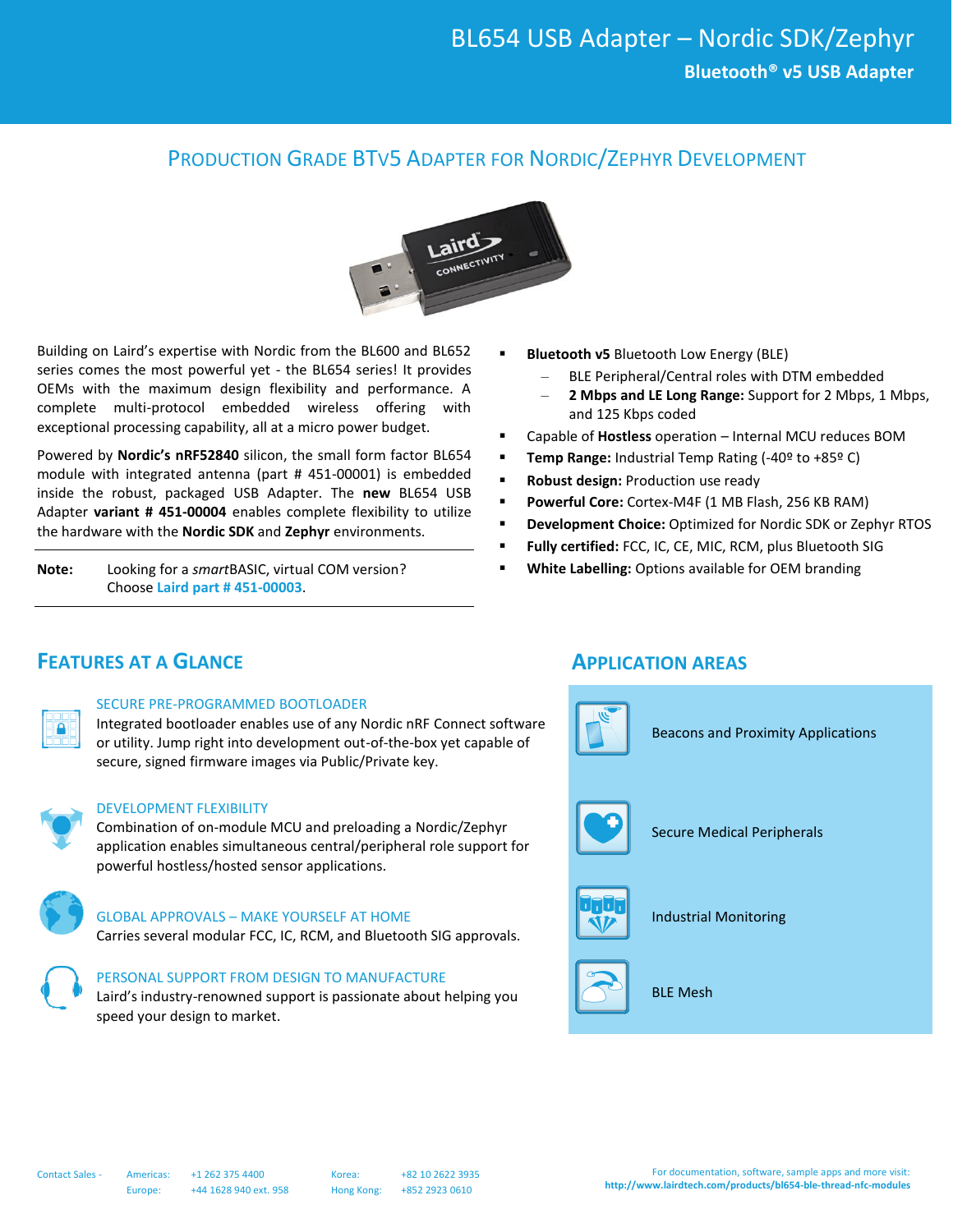### PRODUCTION GRADE BTV5 ADAPTER FOR NORDIC/ZEPHYR DEVELOPMENT



Building on Laird's expertise with Nordic from the BL600 and BL652 series comes the most powerful yet - the BL654 series! It provides OEMs with the maximum design flexibility and performance. A complete multi-protocol embedded wireless offering with exceptional processing capability, all at a micro power budget.

Powered by **Nordic's nRF52840** silicon, the small form factor BL654 module with integrated antenna (part # 451-00001) is embedded inside the robust, packaged USB Adapter. The **new** BL654 USB Adapter **variant # 451-00004** enables complete flexibility to utilize the hardware with the **Nordic SDK** and **Zephyr** environments.

**Note:** Looking for a *smart*BASIC, virtual COM version? Choose **Laird part # 451-00003**.

- **Bluetooth v5** Bluetooth Low Energy (BLE)
	- BLE Peripheral/Central roles with DTM embedded
	- **2 Mbps and LE Long Range:** Support for 2 Mbps, 1 Mbps, and 125 Kbps coded
- Capable of **Hostless** operation Internal MCU reduces BOM
- **Temp Range:** Industrial Temp Rating (-40º to +85º C)
- **Robust design:** Production use ready
- **Powerful Core:** Cortex-M4F (1 MB Flash, 256 KB RAM)
- **Development Choice:** Optimized for Nordic SDK or Zephyr RTOS
- Fully certified: FCC, IC, CE, MIC, RCM, plus Bluetooth SIG
- **White Labelling:** Options available for OEM branding

### **FEATURES AT A GLANCE APPLICATION AREAS**

#### SECURE PRE-PROGRAMMED BOOTLOADER

Integrated bootloader enables use of any Nordic nRF Connect software or utility. Jump right into development out-of-the-box yet capable of secure, signed firmware images via Public/Private key.



#### DEVELOPMENT FLEXIBILITY

Combination of on-module MCU and preloading a Nordic/Zephyr application enables simultaneous central/peripheral role support for powerful hostless/hosted sensor applications.



#### GLOBAL APPROVALS – MAKE YOURSELF AT HOME

Carries several modular FCC, IC, RCM, and Bluetooth SIG approvals.

#### PERSONAL SUPPORT FROM DESIGN TO MANUFACTURE

Laird's industry-renowned support is passionate about helping you speed your design to market.

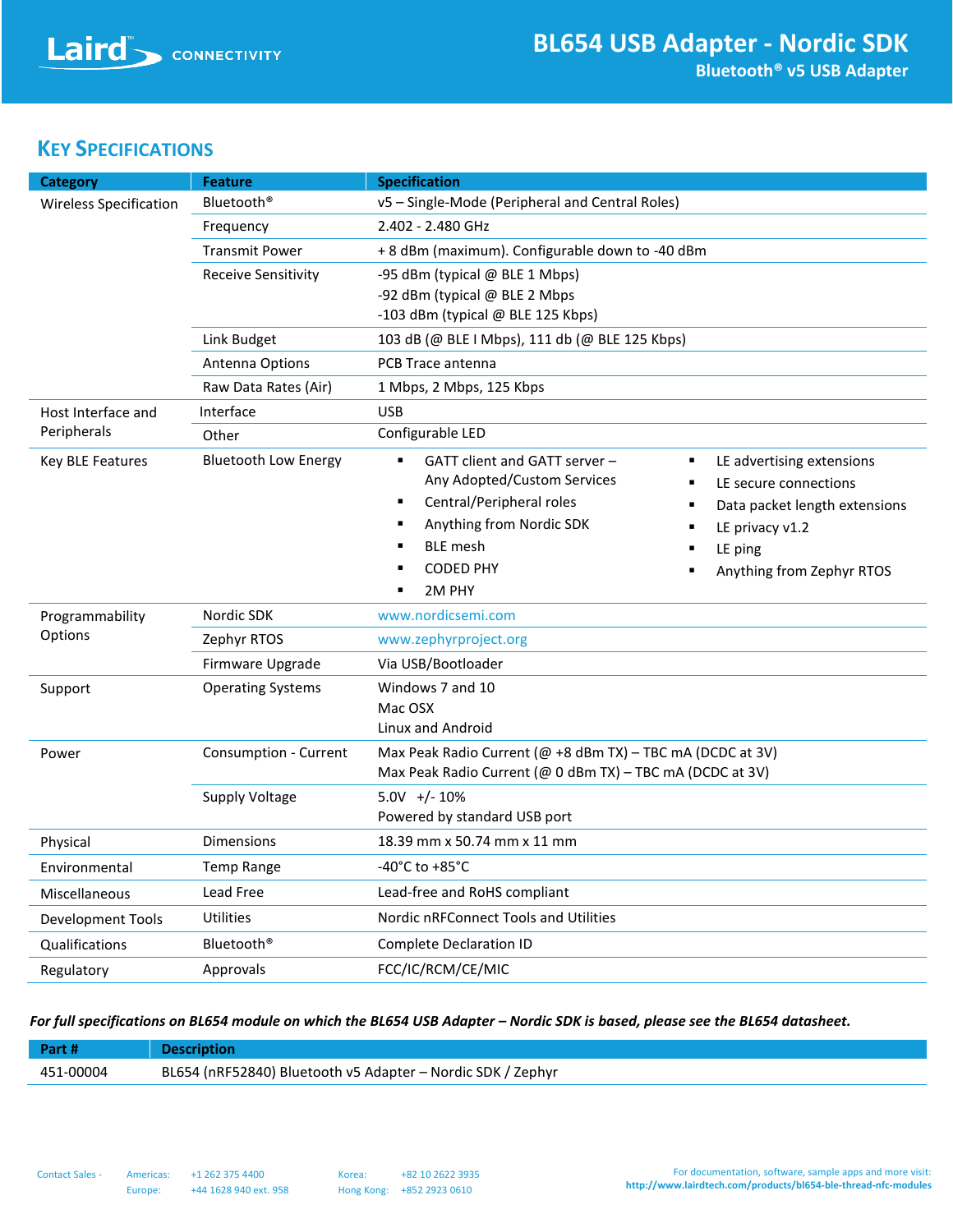## **KEY SPECIFICATIONS**

| <b>Category</b>                   | <b>Feature</b>              | <b>Specification</b>                                                                                                                                                                                                                                                                                                                                                  |  |
|-----------------------------------|-----------------------------|-----------------------------------------------------------------------------------------------------------------------------------------------------------------------------------------------------------------------------------------------------------------------------------------------------------------------------------------------------------------------|--|
| <b>Wireless Specification</b>     | Bluetooth <sup>®</sup>      | v5 - Single-Mode (Peripheral and Central Roles)                                                                                                                                                                                                                                                                                                                       |  |
|                                   | Frequency                   | 2.402 - 2.480 GHz                                                                                                                                                                                                                                                                                                                                                     |  |
|                                   | <b>Transmit Power</b>       | + 8 dBm (maximum). Configurable down to -40 dBm                                                                                                                                                                                                                                                                                                                       |  |
|                                   | <b>Receive Sensitivity</b>  | -95 dBm (typical @ BLE 1 Mbps)                                                                                                                                                                                                                                                                                                                                        |  |
|                                   |                             | -92 dBm (typical @ BLE 2 Mbps                                                                                                                                                                                                                                                                                                                                         |  |
|                                   |                             | -103 dBm (typical @ BLE 125 Kbps)                                                                                                                                                                                                                                                                                                                                     |  |
|                                   | Link Budget                 | 103 dB (@ BLE I Mbps), 111 db (@ BLE 125 Kbps)                                                                                                                                                                                                                                                                                                                        |  |
|                                   | <b>Antenna Options</b>      | PCB Trace antenna                                                                                                                                                                                                                                                                                                                                                     |  |
|                                   | Raw Data Rates (Air)        | 1 Mbps, 2 Mbps, 125 Kbps                                                                                                                                                                                                                                                                                                                                              |  |
| Host Interface and<br>Peripherals | Interface                   | <b>USB</b>                                                                                                                                                                                                                                                                                                                                                            |  |
|                                   | Other                       | Configurable LED                                                                                                                                                                                                                                                                                                                                                      |  |
| Key BLE Features                  | <b>Bluetooth Low Energy</b> | GATT client and GATT server -<br>$\blacksquare$<br>LE advertising extensions<br>Any Adopted/Custom Services<br>LE secure connections<br>Central/Peripheral roles<br>$\blacksquare$<br>Data packet length extensions<br>Anything from Nordic SDK<br>LE privacy v1.2<br><b>BLE</b> mesh<br>LE ping<br>٠<br><b>CODED PHY</b><br>Anything from Zephyr RTOS<br>2M PHY<br>٠ |  |
| Programmability                   | Nordic SDK                  | www.nordicsemi.com                                                                                                                                                                                                                                                                                                                                                    |  |
| Options                           | Zephyr RTOS                 | www.zephyrproject.org                                                                                                                                                                                                                                                                                                                                                 |  |
|                                   | Firmware Upgrade            | Via USB/Bootloader                                                                                                                                                                                                                                                                                                                                                    |  |
| Support                           | <b>Operating Systems</b>    | Windows 7 and 10<br>Mac OSX<br>Linux and Android                                                                                                                                                                                                                                                                                                                      |  |
| Power                             | Consumption - Current       | Max Peak Radio Current (@ +8 dBm TX) - TBC mA (DCDC at 3V)<br>Max Peak Radio Current (@ 0 dBm TX) - TBC mA (DCDC at 3V)                                                                                                                                                                                                                                               |  |
|                                   | Supply Voltage              | $5.0V +/- 10\%$                                                                                                                                                                                                                                                                                                                                                       |  |
|                                   |                             | Powered by standard USB port                                                                                                                                                                                                                                                                                                                                          |  |
| Physical                          | <b>Dimensions</b>           | 18.39 mm x 50.74 mm x 11 mm                                                                                                                                                                                                                                                                                                                                           |  |
| Environmental                     | <b>Temp Range</b>           | -40 $^{\circ}$ C to +85 $^{\circ}$ C                                                                                                                                                                                                                                                                                                                                  |  |
| Miscellaneous                     | Lead Free                   | Lead-free and RoHS compliant                                                                                                                                                                                                                                                                                                                                          |  |
| Development Tools                 | Utilities                   | Nordic nRFConnect Tools and Utilities                                                                                                                                                                                                                                                                                                                                 |  |
| Qualifications                    | Bluetooth <sup>®</sup>      | Complete Declaration ID                                                                                                                                                                                                                                                                                                                                               |  |
| Regulatory                        | Approvals                   | FCC/IC/RCM/CE/MIC                                                                                                                                                                                                                                                                                                                                                     |  |

### *For full specifications on BL654 module on which the BL654 USB Adapter – Nordic SDK is based, please see the BL654 datasheet.*

| Part#     | <b>Description</b>                                          |
|-----------|-------------------------------------------------------------|
| 451-00004 | BL654 (nRF52840) Bluetooth v5 Adapter - Nordic SDK / Zephyr |